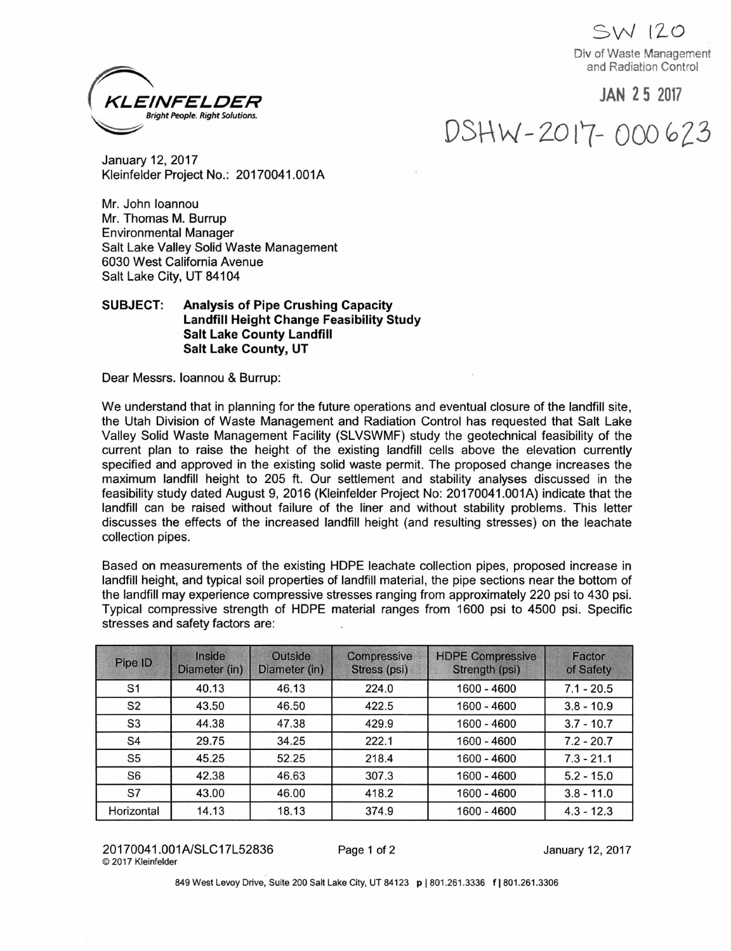**SW** *\ZO* Div of Waste Management and Radiation Control

## **JAN 2 5 2017**

DSHW-2017-000623



January 12, 2017 Kleinfelder Project No.: 20170041.001A

Mr. John loannou Mr. Thomas M. Burrup Environmental Manager Salt Lake Valley Solid Waste Management 6030 West California Avenue Salt Lake City, UT 84104

## **SUBJECT: Analysis of Pipe Crushing Capacity Landfill Height Change Feasibility Study Salt Lake County Landfill Salt Lake County, UT**

Dear Messrs, loannou & Burrup:

We understand that in planning for the future operations and eventual closure of the landfill site, the Utah Division of Waste Management and Radiation Control has requested that Salt Lake Valley Solid Waste Management Facility (SLVSWMF) study the geotechnical feasibility of the current plan to raise the height of the existing landfill cells above the elevation currently specified and approved in the existing solid waste permit. The proposed change increases the maximum landfill height to 205 ft. Our settlement and stability analyses discussed in the feasibility study dated August 9, 2016 (Kleinfelder Project No: 20170041.001A) indicate that the landfill can be raised without failure of the liner and without stability problems. This letter discusses the effects of the increased landfill height (and resulting stresses) on the leachate collection pipes.

Based on measurements of the existing HOPE leachate collection pipes, proposed increase in landfill height, and typical soil properties of landfill material, the pipe sections near the bottom of the landfill may experience compressive stresses ranging from approximately 220 psi to 430 psi. Typical compressive strength of HOPE material ranges from 1600 psi to 4500 psi. Specific stresses and safety factors are:

| Pipe ID        | <b>Inside</b><br>Diameter (in) | <b>Outside</b><br>Diameter (in) | Compressive<br>Stress (psi) | <b>HDPE Compressive</b><br>Strength (psi) | Factor<br>of Safety |
|----------------|--------------------------------|---------------------------------|-----------------------------|-------------------------------------------|---------------------|
| S <sub>1</sub> | 40.13                          | 46.13                           | 224.0                       | 1600 - 4600                               | $7.1 - 20.5$        |
| S <sub>2</sub> | 43.50                          | 46.50                           | 422.5                       | 1600 - 4600                               | $3.8 - 10.9$        |
| S <sub>3</sub> | 44.38                          | 47.38                           | 429.9                       | 1600 - 4600                               | $3.7 - 10.7$        |
| S4             | 29.75                          | 34.25                           | 222.1                       | 1600 - 4600                               | $7.2 - 20.7$        |
| S <sub>5</sub> | 45.25                          | 52.25                           | 218.4                       | 1600 - 4600                               | $7.3 - 21.1$        |
| S <sub>6</sub> | 42.38                          | 46.63                           | 307.3                       | 1600 - 4600                               | $5.2 - 15.0$        |
| S7             | 43.00                          | 46.00                           | 418.2                       | 1600 - 4600                               | $3.8 - 11.0$        |
| Horizontal     | 14.13                          | 18.13                           | 374.9                       | 1600 - 4600                               | $4.3 - 12.3$        |

20170041.001A/SLC17L52836 Page <sup>1</sup> of 2 January 12, 2017 ©2017 Kleinfelder

849 West Levoy Drive, Suite 200 Salt Lake City, UT 84123 p | 801.261.3336 f | 801.261.3306